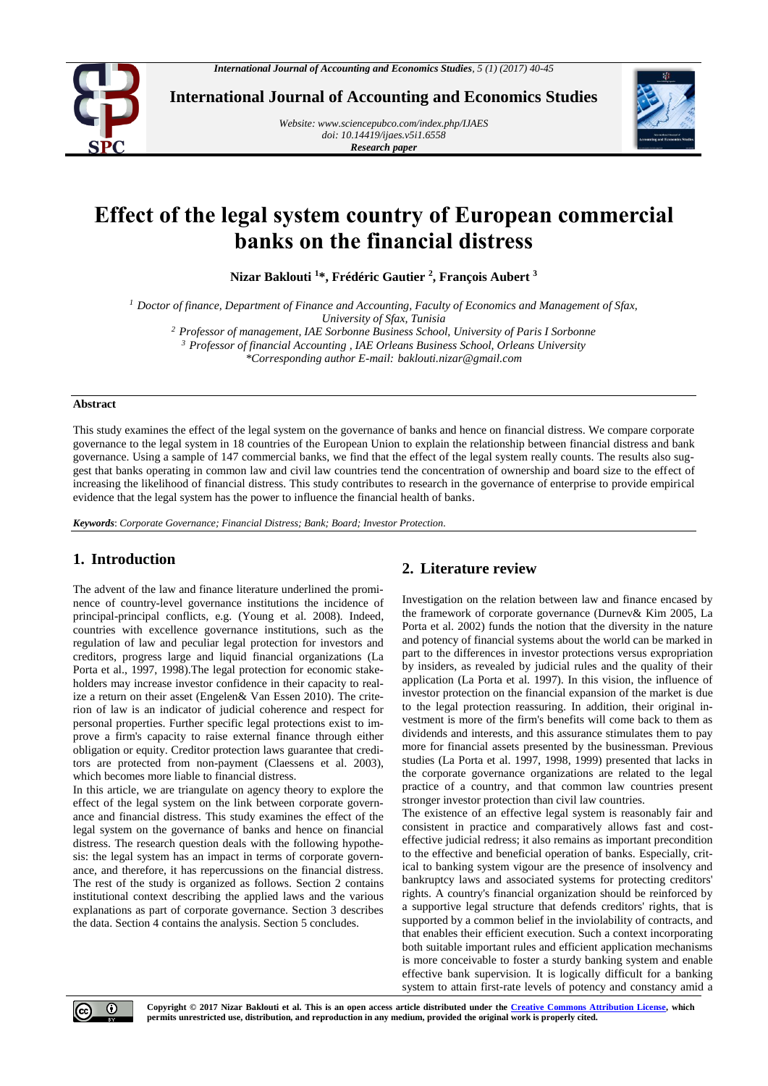

**International Journal of Accounting and Economics Studies**

*Website[: www.sciencepubco.com/index.php/IJAES](http://www.sciencepubco.com/index.php/IJAES) doi: 10.14419/ijaes.v5i1.6558 Research paper*



# **Effect of the legal system country of European commercial banks on the financial distress**

**Nizar Baklouti <sup>1</sup>\*, Frédéric Gautier <sup>2</sup> , François Aubert <sup>3</sup>**

*<sup>1</sup> Doctor of finance, Department of Finance and Accounting, Faculty of Economics and Management of Sfax,* 

*University of Sfax, Tunisia*

*<sup>2</sup> Professor of management, IAE Sorbonne Business School, University of Paris I Sorbonne*

*<sup>3</sup> Professor of financial Accounting , IAE Orleans Business School, Orleans University*

*\*Corresponding author E-mail: baklouti.nizar@gmail.com*

## **Abstract**

This study examines the effect of the legal system on the governance of banks and hence on financial distress. We compare corporate governance to the legal system in 18 countries of the European Union to explain the relationship between financial distress and bank governance. Using a sample of 147 commercial banks, we find that the effect of the legal system really counts. The results also suggest that banks operating in common law and civil law countries tend the concentration of ownership and board size to the effect of increasing the likelihood of financial distress. This study contributes to research in the governance of enterprise to provide empirical evidence that the legal system has the power to influence the financial health of banks.

*Keywords*: *Corporate Governance; Financial Distress; Bank; Board; Investor Protection.*

# **1. Introduction**

The advent of the law and finance literature underlined the prominence of country-level governance institutions the incidence of principal-principal conflicts, e.g. (Young et al. 2008). Indeed, countries with excellence governance institutions, such as the regulation of law and peculiar legal protection for investors and creditors, progress large and liquid financial organizations (La Porta et al., 1997, 1998).The legal protection for economic stakeholders may increase investor confidence in their capacity to realize a return on their asset (Engelen& Van Essen 2010). The criterion of law is an indicator of judicial coherence and respect for personal properties. Further specific legal protections exist to improve a firm's capacity to raise external finance through either obligation or equity. Creditor protection laws guarantee that creditors are protected from non-payment (Claessens et al. 2003), which becomes more liable to financial distress.

In this article, we are triangulate on agency theory to explore the effect of the legal system on the link between corporate governance and financial distress. This study examines the effect of the legal system on the governance of banks and hence on financial distress. The research question deals with the following hypothesis: the legal system has an impact in terms of corporate governance, and therefore, it has repercussions on the financial distress. The rest of the study is organized as follows. Section 2 contains institutional context describing the applied laws and the various explanations as part of corporate governance. Section 3 describes the data. Section 4 contains the analysis. Section 5 concludes.

# **2. Literature review**

Investigation on the relation between law and finance encased by the framework of corporate governance (Durnev& Kim 2005, La Porta et al. 2002) funds the notion that the diversity in the nature and potency of financial systems about the world can be marked in part to the differences in investor protections versus expropriation by insiders, as revealed by judicial rules and the quality of their application (La Porta et al. 1997). In this vision, the influence of investor protection on the financial expansion of the market is due to the legal protection reassuring. In addition, their original investment is more of the firm's benefits will come back to them as dividends and interests, and this assurance stimulates them to pay more for financial assets presented by the businessman. Previous studies (La Porta et al. 1997, 1998, 1999) presented that lacks in the corporate governance organizations are related to the legal practice of a country, and that common law countries present stronger investor protection than civil law countries.

The existence of an effective legal system is reasonably fair and consistent in practice and comparatively allows fast and costeffective judicial redress; it also remains as important precondition to the effective and beneficial operation of banks. Especially, critical to banking system vigour are the presence of insolvency and bankruptcy laws and associated systems for protecting creditors' rights. A country's financial organization should be reinforced by a supportive legal structure that defends creditors' rights, that is supported by a common belief in the inviolability of contracts, and that enables their efficient execution. Such a context incorporating both suitable important rules and efficient application mechanisms is more conceivable to foster a sturdy banking system and enable effective bank supervision. It is logically difficult for a banking system to attain first-rate levels of potency and constancy amid a



**Copyright © 2017 Nizar Baklouti et al. This is an open access article distributed under the [Creative Commons Attribution License,](http://creativecommons.org/licenses/by/3.0/) which permits unrestricted use, distribution, and reproduction in any medium, provided the original work is properly cited.**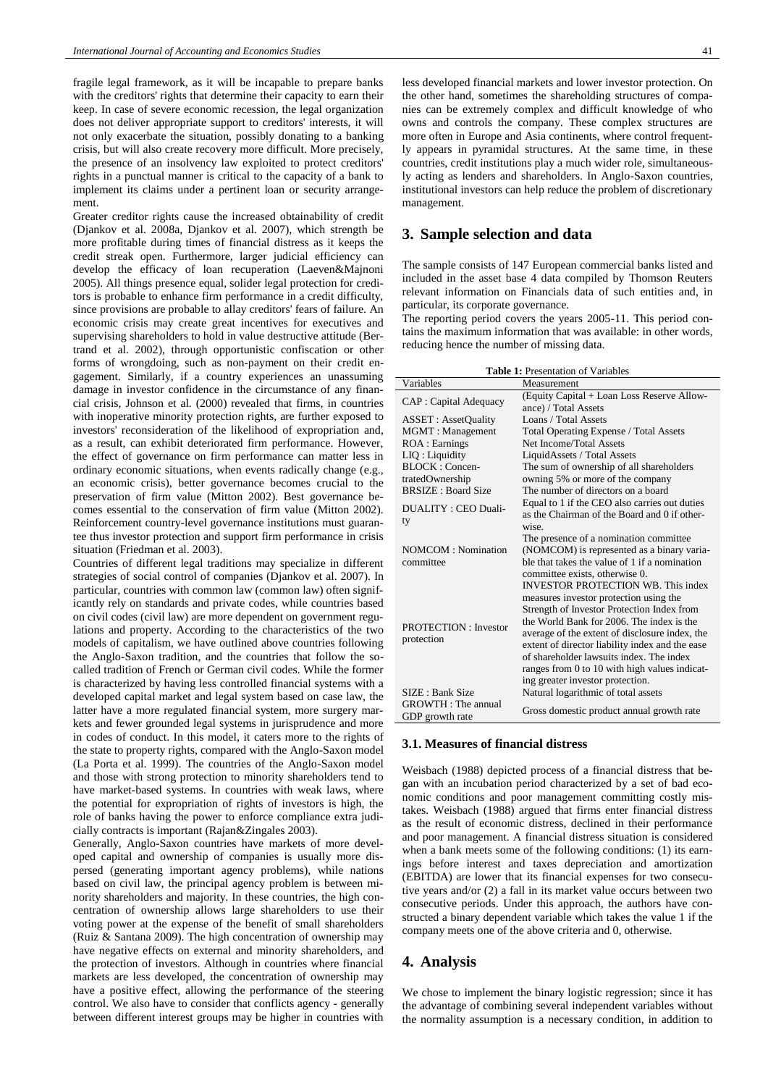fragile legal framework, as it will be incapable to prepare banks with the creditors' rights that determine their capacity to earn their keep. In case of severe economic recession, the legal organization does not deliver appropriate support to creditors' interests, it will not only exacerbate the situation, possibly donating to a banking crisis, but will also create recovery more difficult. More precisely, the presence of an insolvency law exploited to protect creditors' rights in a punctual manner is critical to the capacity of a bank to implement its claims under a pertinent loan or security arrangement.

Greater creditor rights cause the increased obtainability of credit (Djankov et al. 2008a, Djankov et al. 2007), which strength be more profitable during times of financial distress as it keeps the credit streak open. Furthermore, larger judicial efficiency can develop the efficacy of loan recuperation (Laeven&Majnoni 2005). All things presence equal, solider legal protection for creditors is probable to enhance firm performance in a credit difficulty, since provisions are probable to allay creditors' fears of failure. An economic crisis may create great incentives for executives and supervising shareholders to hold in value destructive attitude (Bertrand et al. 2002), through opportunistic confiscation or other forms of wrongdoing, such as non-payment on their credit engagement. Similarly, if a country experiences an unassuming damage in investor confidence in the circumstance of any financial crisis, Johnson et al. (2000) revealed that firms, in countries with inoperative minority protection rights, are further exposed to investors' reconsideration of the likelihood of expropriation and, as a result, can exhibit deteriorated firm performance. However, the effect of governance on firm performance can matter less in ordinary economic situations, when events radically change (e.g., an economic crisis), better governance becomes crucial to the preservation of firm value (Mitton 2002). Best governance becomes essential to the conservation of firm value (Mitton 2002). Reinforcement country-level governance institutions must guarantee thus investor protection and support firm performance in crisis situation (Friedman et al. 2003).

Countries of different legal traditions may specialize in different strategies of social control of companies (Djankov et al. 2007). In particular, countries with common law (common law) often significantly rely on standards and private codes, while countries based on civil codes (civil law) are more dependent on government regulations and property. According to the characteristics of the two models of capitalism, we have outlined above countries following the Anglo-Saxon tradition, and the countries that follow the socalled tradition of French or German civil codes. While the former is characterized by having less controlled financial systems with a developed capital market and legal system based on case law, the latter have a more regulated financial system, more surgery markets and fewer grounded legal systems in jurisprudence and more in codes of conduct. In this model, it caters more to the rights of the state to property rights, compared with the Anglo-Saxon model (La Porta et al. 1999). The countries of the Anglo-Saxon model and those with strong protection to minority shareholders tend to have market-based systems. In countries with weak laws, where the potential for expropriation of rights of investors is high, the role of banks having the power to enforce compliance extra judicially contracts is important (Rajan&Zingales 2003).

Generally, Anglo-Saxon countries have markets of more developed capital and ownership of companies is usually more dispersed (generating important agency problems), while nations based on civil law, the principal agency problem is between minority shareholders and majority. In these countries, the high concentration of ownership allows large shareholders to use their voting power at the expense of the benefit of small shareholders (Ruiz & Santana 2009). The high concentration of ownership may have negative effects on external and minority shareholders, and the protection of investors. Although in countries where financial markets are less developed, the concentration of ownership may have a positive effect, allowing the performance of the steering control. We also have to consider that conflicts agency - generally between different interest groups may be higher in countries with

less developed financial markets and lower investor protection. On the other hand, sometimes the shareholding structures of companies can be extremely complex and difficult knowledge of who owns and controls the company. These complex structures are more often in Europe and Asia continents, where control frequently appears in pyramidal structures. At the same time, in these countries, credit institutions play a much wider role, simultaneously acting as lenders and shareholders. In Anglo-Saxon countries, institutional investors can help reduce the problem of discretionary management.

# **3. Sample selection and data**

The sample consists of 147 European commercial banks listed and included in the asset base 4 data compiled by Thomson Reuters relevant information on Financials data of such entities and, in particular, its corporate governance.

The reporting period covers the years 2005-11. This period contains the maximum information that was available: in other words, reducing hence the number of missing data.

| <b>Table 1:</b> Presentation of Variables  |                                                                                                                                                                                                                                                                                                                                                                         |  |  |  |
|--------------------------------------------|-------------------------------------------------------------------------------------------------------------------------------------------------------------------------------------------------------------------------------------------------------------------------------------------------------------------------------------------------------------------------|--|--|--|
| Variables                                  | Measurement                                                                                                                                                                                                                                                                                                                                                             |  |  |  |
| CAP : Capital Adequacy                     | (Equity Capital + Loan Loss Reserve Allow-<br>ance) / Total Assets                                                                                                                                                                                                                                                                                                      |  |  |  |
| <b>ASSET</b> : AssetQuality                | Loans / Total Assets                                                                                                                                                                                                                                                                                                                                                    |  |  |  |
| MGMT: Management                           | Total Operating Expense / Total Assets                                                                                                                                                                                                                                                                                                                                  |  |  |  |
| ROA : Earnings                             | Net Income/Total Assets                                                                                                                                                                                                                                                                                                                                                 |  |  |  |
| LIQ: Liquidity                             | LiquidAssets / Total Assets                                                                                                                                                                                                                                                                                                                                             |  |  |  |
| BLOCK: Concen-                             | The sum of ownership of all shareholders                                                                                                                                                                                                                                                                                                                                |  |  |  |
| tratedOwnership                            | owning 5% or more of the company                                                                                                                                                                                                                                                                                                                                        |  |  |  |
| <b>BRSIZE: Board Size</b>                  | The number of directors on a board                                                                                                                                                                                                                                                                                                                                      |  |  |  |
| <b>DUALITY: CEO Duali-</b><br>ty           | Equal to 1 if the CEO also carries out duties<br>as the Chairman of the Board and 0 if other-<br>wise<br>The presence of a nomination committee                                                                                                                                                                                                                         |  |  |  |
| NOMCOM: Nomination<br>committee            | (NOMCOM) is represented as a binary varia-<br>ble that takes the value of 1 if a nomination<br>committee exists, otherwise 0.<br><b>INVESTOR PROTECTION WB. This index</b>                                                                                                                                                                                              |  |  |  |
| <b>PROTECTION</b> : Investor<br>protection | measures investor protection using the<br>Strength of Investor Protection Index from<br>the World Bank for 2006. The index is the<br>average of the extent of disclosure index, the<br>extent of director liability index and the ease<br>of shareholder lawsuits index. The index<br>ranges from 0 to 10 with high values indicat-<br>ing greater investor protection. |  |  |  |
| SIZE : Bank Size                           | Natural logarithmic of total assets                                                                                                                                                                                                                                                                                                                                     |  |  |  |
| GROWTH: The annual<br>GDP growth rate      | Gross domestic product annual growth rate                                                                                                                                                                                                                                                                                                                               |  |  |  |

#### **3.1. Measures of financial distress**

Weisbach (1988) depicted process of a financial distress that began with an incubation period characterized by a set of bad economic conditions and poor management committing costly mistakes. Weisbach (1988) argued that firms enter financial distress as the result of economic distress, declined in their performance and poor management. A financial distress situation is considered when a bank meets some of the following conditions: (1) its earnings before interest and taxes depreciation and amortization (EBITDA) are lower that its financial expenses for two consecutive years and/or (2) a fall in its market value occurs between two consecutive periods. Under this approach, the authors have constructed a binary dependent variable which takes the value 1 if the company meets one of the above criteria and 0, otherwise.

## **4. Analysis**

We chose to implement the binary logistic regression; since it has the advantage of combining several independent variables without the normality assumption is a necessary condition, in addition to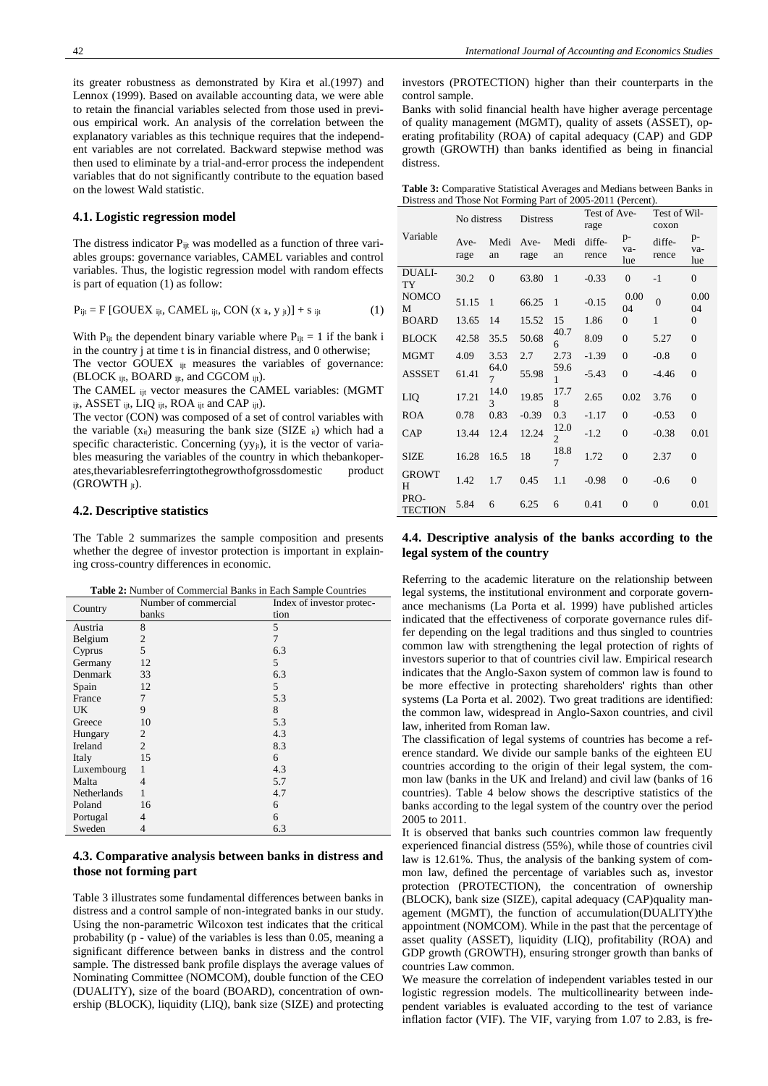its greater robustness as demonstrated by Kira et al.(1997) and Lennox (1999). Based on available accounting data, we were able to retain the financial variables selected from those used in previous empirical work. An analysis of the correlation between the explanatory variables as this technique requires that the independent variables are not correlated. Backward stepwise method was then used to eliminate by a trial-and-error process the independent variables that do not significantly contribute to the equation based on the lowest Wald statistic.

#### **4.1. Logistic regression model**

The distress indicator P<sub>ijt</sub> was modelled as a function of three variables groups: governance variables, CAMEL variables and control variables. Thus, the logistic regression model with random effects is part of equation (1) as follow:

$$
P_{ijt} = F [GOUEX_{ijt}, CAMEL_{ijt}, CON (x it, y it)] + s iit \tag{1}
$$

With P<sub>ijt</sub> the dependent binary variable where  $P_{\text{lit}} = 1$  if the bank i in the country j at time t is in financial distress, and 0 otherwise;

The vector GOUEX ijt measures the variables of governance: (BLOCK ijt, BOARD ijt, and CGCOM ijt).

The CAMEL ijt vector measures the CAMEL variables: (MGMT ijt, ASSET ijt, LIQ ijt, ROA ijt and CAP ijt).

The vector (CON) was composed of a set of control variables with the variable  $(x<sub>it</sub>)$  measuring the bank size (SIZE  $<sub>it</sub>$ ) which had a</sub> specific characteristic. Concerning (yyjt), it is the vector of variables measuring the variables of the country in which thebankoperates,thevariablesreferringtothegrowthofgrossdomestic product (GROWTH  $_{it}$ ).

#### **4.2. Descriptive statistics**

The Table 2 summarizes the sample composition and presents whether the degree of investor protection is important in explaining cross-country differences in economic.

| <b>Table 2:</b> Number of Commercial Banks in Each Sample Countries |  |
|---------------------------------------------------------------------|--|
|---------------------------------------------------------------------|--|

|             | Number of commercial | Index of investor protec- |  |  |
|-------------|----------------------|---------------------------|--|--|
| Country     | banks                | tion                      |  |  |
| Austria     | 8                    | 5                         |  |  |
| Belgium     | 2                    | $\overline{7}$            |  |  |
| Cyprus      | 5                    | 6.3                       |  |  |
| Germany     | 12                   | 5                         |  |  |
| Denmark     | 33                   | 6.3                       |  |  |
| Spain       | 12                   | 5                         |  |  |
| France      | 7                    | 5.3                       |  |  |
| UK          | 9                    | 8                         |  |  |
| Greece      | 10                   | 5.3                       |  |  |
| Hungary     | 2                    | 4.3                       |  |  |
| Ireland     | 2                    | 8.3                       |  |  |
| Italy       | 15                   | 6                         |  |  |
| Luxembourg  | 1                    | 4.3                       |  |  |
| Malta       | $\overline{4}$       | 5.7                       |  |  |
| Netherlands | 1                    | 4.7                       |  |  |
| Poland      | 16                   | 6                         |  |  |
| Portugal    | 4                    | 6                         |  |  |
| Sweden      | 4                    | 6.3                       |  |  |

#### **4.3. Comparative analysis between banks in distress and those not forming part**

Table 3 illustrates some fundamental differences between banks in distress and a control sample of non-integrated banks in our study. Using the non-parametric Wilcoxon test indicates that the critical probability (p - value) of the variables is less than 0.05, meaning a significant difference between banks in distress and the control sample. The distressed bank profile displays the average values of Nominating Committee (NOMCOM), double function of the CEO (DUALITY), size of the board (BOARD), concentration of ownership (BLOCK), liquidity (LIQ), bank size (SIZE) and protecting investors (PROTECTION) higher than their counterparts in the control sample.

Banks with solid financial health have higher average percentage of quality management (MGMT), quality of assets (ASSET), operating profitability (ROA) of capital adequacy (CAP) and GDP growth (GROWTH) than banks identified as being in financial distress.

| <b>Table 3:</b> Comparative Statistical Averages and Medians between Banks in |  |
|-------------------------------------------------------------------------------|--|
| Distress and Those Not Forming Part of 2005-2011 (Percent).                   |  |

|                            | No distress  |                       | <b>Distress</b> |                        | Test of Ave-<br>rage |                  | Test of Wil-<br>coxon |                  |
|----------------------------|--------------|-----------------------|-----------------|------------------------|----------------------|------------------|-----------------------|------------------|
| Variable                   | Ave-<br>rage | Medi<br>an            | Ave-<br>rage    | Medi<br>an             | diffe-<br>rence      | p-<br>va-<br>lue | diffe-<br>rence       | p-<br>va-<br>lue |
| <b>DUALI-</b><br><b>TY</b> | 30.2         | $\Omega$              | 63.80           | $\mathbf{1}$           | $-0.33$              | $\overline{0}$   | $-1$                  | $\boldsymbol{0}$ |
| <b>NOMCO</b><br>M          | 51.15        | $\mathbf{1}$          | 66.25           | $\mathbf{1}$           | $-0.15$              | 0.00<br>04       | $\theta$              | 0.00<br>04       |
| <b>BOARD</b>               | 13.65        | 14                    | 15.52           | 15                     | 1.86                 | $\overline{0}$   | 1                     | $\boldsymbol{0}$ |
| <b>BLOCK</b>               | 42.58        | 35.5                  | 50.68           | 40.7<br>6              | 8.09                 | $\overline{0}$   | 5.27                  | $\overline{0}$   |
| <b>MGMT</b>                | 4.09         | 3.53                  | 2.7             | 2.73                   | $-1.39$              | $\overline{0}$   | $-0.8$                | $\overline{0}$   |
| ASSSET                     | 61.41        | 64.0<br>$\tau$        | 55.98           | 59.6<br>1              | $-5.43$              | $\overline{0}$   | $-4.46$               | $\overline{0}$   |
| LIQ                        | 17.21        | 14.0<br>$\mathcal{R}$ | 19.85           | 17.7<br>8              | 2.65                 | 0.02             | 3.76                  | $\overline{0}$   |
| <b>ROA</b>                 | 0.78         | 0.83                  | $-0.39$         | 0.3                    | $-1.17$              | $\theta$         | $-0.53$               | $\boldsymbol{0}$ |
| CAP                        | 13.44        | 12.4                  | 12.24           | 12.0<br>$\overline{c}$ | $-1.2$               | $\overline{0}$   | $-0.38$               | 0.01             |
| <b>SIZE</b>                | 16.28        | 16.5                  | 18              | 18.8<br>7              | 1.72                 | $\overline{0}$   | 2.37                  | $\overline{0}$   |
| <b>GROWT</b><br>H          | 1.42         | 1.7                   | 0.45            | 1.1                    | $-0.98$              | $\theta$         | $-0.6$                | $\mathbf{0}$     |
| PRO-<br><b>TECTION</b>     | 5.84         | 6                     | 6.25            | 6                      | 0.41                 | $\overline{0}$   | $\theta$              | 0.01             |

## **4.4. Descriptive analysis of the banks according to the legal system of the country**

Referring to the academic literature on the relationship between legal systems, the institutional environment and corporate governance mechanisms (La Porta et al. 1999) have published articles indicated that the effectiveness of corporate governance rules differ depending on the legal traditions and thus singled to countries common law with strengthening the legal protection of rights of investors superior to that of countries civil law. Empirical research indicates that the Anglo-Saxon system of common law is found to be more effective in protecting shareholders' rights than other systems (La Porta et al. 2002). Two great traditions are identified: the common law, widespread in Anglo-Saxon countries, and civil law, inherited from Roman law.

The classification of legal systems of countries has become a reference standard. We divide our sample banks of the eighteen EU countries according to the origin of their legal system, the common law (banks in the UK and Ireland) and civil law (banks of 16 countries). Table 4 below shows the descriptive statistics of the banks according to the legal system of the country over the period 2005 to 2011.

It is observed that banks such countries common law frequently experienced financial distress (55%), while those of countries civil law is 12.61%. Thus, the analysis of the banking system of common law, defined the percentage of variables such as, investor protection (PROTECTION), the concentration of ownership (BLOCK), bank size (SIZE), capital adequacy (CAP)quality management (MGMT), the function of accumulation(DUALITY)the appointment (NOMCOM). While in the past that the percentage of asset quality (ASSET), liquidity (LIQ), profitability (ROA) and GDP growth (GROWTH), ensuring stronger growth than banks of countries Law common.

We measure the correlation of independent variables tested in our logistic regression models. The multicollinearity between independent variables is evaluated according to the test of variance inflation factor (VIF). The VIF, varying from 1.07 to 2.83, is fre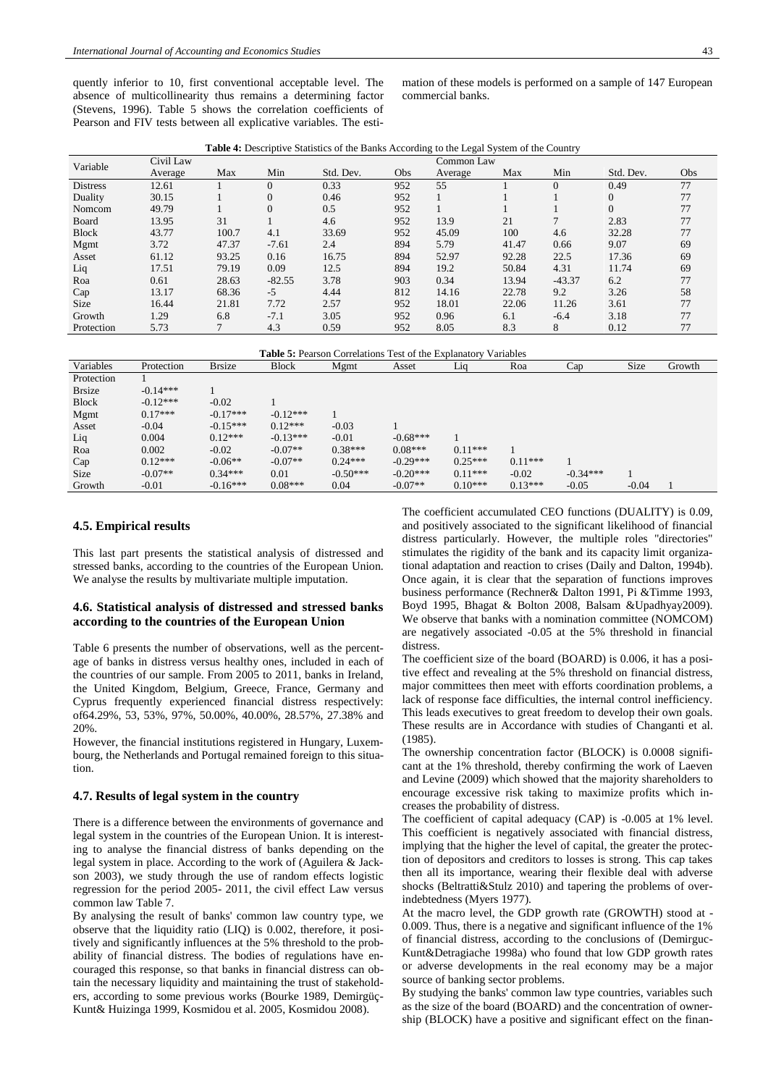quently inferior to 10, first conventional acceptable level. The absence of multicollinearity thus remains a determining factor (Stevens, 1996). Table 5 shows the correlation coefficients of Pearson and FIV tests between all explicative variables. The estimation of these models is performed on a sample of 147 European commercial banks.

Table 4: Descriptive Statistics of the Banks According to the Legal System of the Country

| Variable        | Civil Law |       |          |           |     | Common Law |       |          |           |     |
|-----------------|-----------|-------|----------|-----------|-----|------------|-------|----------|-----------|-----|
|                 | Average   | Max   | Min      | Std. Dev. | Obs | Average    | Max   | Min      | Std. Dev. | Obs |
| <b>Distress</b> | 12.61     |       |          | 0.33      | 952 | 55         |       | $\theta$ | 0.49      | 77  |
| Duality         | 30.15     |       | $\Omega$ | 0.46      | 952 |            |       |          | $\Omega$  | 77  |
| Nomcom          | 49.79     |       | $\theta$ | 0.5       | 952 |            |       |          |           | 77  |
| Board           | 13.95     | 31    |          | 4.6       | 952 | 13.9       | 21    |          | 2.83      | 77  |
| <b>Block</b>    | 43.77     | 100.7 | 4.1      | 33.69     | 952 | 45.09      | 100   | 4.6      | 32.28     | 77  |
| Mgmt            | 3.72      | 47.37 | $-7.61$  | 2.4       | 894 | 5.79       | 41.47 | 0.66     | 9.07      | 69  |
| Asset           | 61.12     | 93.25 | 0.16     | 16.75     | 894 | 52.97      | 92.28 | 22.5     | 17.36     | 69  |
| Liq             | 17.51     | 79.19 | 0.09     | 12.5      | 894 | 19.2       | 50.84 | 4.31     | 11.74     | 69  |
| Roa             | 0.61      | 28.63 | $-82.55$ | 3.78      | 903 | 0.34       | 13.94 | $-43.37$ | 6.2       | 77  |
| Cap             | 13.17     | 68.36 | $-5$     | 4.44      | 812 | 14.16      | 22.78 | 9.2      | 3.26      | 58  |
| <b>Size</b>     | 16.44     | 21.81 | 7.72     | 2.57      | 952 | 18.01      | 22.06 | 11.26    | 3.61      | 77  |
| Growth          | 1.29      | 6.8   | $-7.1$   | 3.05      | 952 | 0.96       | 6.1   | $-6.4$   | 3.18      | 77  |
| Protection      | 5.73      |       | 4.3      | 0.59      | 952 | 8.05       | 8.3   | 8        | 0.12      | 77  |
|                 |           |       |          |           |     |            |       |          |           |     |

| <b>Table 5:</b> Pearson Correlations Test of the Explanatory Variables |            |               |              |            |            |           |           |            |         |        |
|------------------------------------------------------------------------|------------|---------------|--------------|------------|------------|-----------|-----------|------------|---------|--------|
| Variables                                                              | Protection | <b>Brsize</b> | <b>Block</b> | Mgmt       | Asset      | Lig       | Roa       | Cap        | Size    | Growth |
| Protection                                                             |            |               |              |            |            |           |           |            |         |        |
| <b>Brsize</b>                                                          | $-0.14***$ |               |              |            |            |           |           |            |         |        |
| <b>Block</b>                                                           | $-0.12***$ | $-0.02$       |              |            |            |           |           |            |         |        |
| Mgmt                                                                   | $0.17***$  | $-0.17***$    | $-0.12***$   |            |            |           |           |            |         |        |
| Asset                                                                  | $-0.04$    | $-0.15***$    | $0.12***$    | $-0.03$    |            |           |           |            |         |        |
| Liq                                                                    | 0.004      | $0.12***$     | $-0.13***$   | $-0.01$    | $-0.68***$ |           |           |            |         |        |
| Roa                                                                    | 0.002      | $-0.02$       | $-0.07**$    | $0.38***$  | $0.08***$  | $0.11***$ |           |            |         |        |
| Cap                                                                    | $0.12***$  | $-0.06**$     | $-0.07**$    | $0.24***$  | $-0.29***$ | $0.25***$ | $0.11***$ |            |         |        |
| Size                                                                   | $-0.07**$  | $0.34***$     | 0.01         | $-0.50***$ | $-0.20***$ | $0.11***$ | $-0.02$   | $-0.34***$ |         |        |
| Growth                                                                 | $-0.01$    | $-0.16***$    | $0.08***$    | 0.04       | $-0.07**$  | $0.10***$ | $0.13***$ | $-0.05$    | $-0.04$ |        |

#### 4.5. Empirical results

This last part presents the statistical analysis of distressed and stressed banks, according to the countries of the European Union. We analyse the results by multivariate multiple imputation.

#### 4.6. Statistical analysis of distressed and stressed banks according to the countries of the European Union

Table 6 presents the number of observations, well as the percentage of banks in distress versus healthy ones, included in each of the countries of our sample. From 2005 to 2011, banks in Ireland, the United Kingdom, Belgium, Greece, France, Germany and Cyprus frequently experienced financial distress respectively: of64.29%, 53, 53%, 97%, 50.00%, 40.00%, 28.57%, 27.38% and  $20%$ .

However, the financial institutions registered in Hungary, Luxembourg, the Netherlands and Portugal remained foreign to this situation.

#### 4.7. Results of legal system in the country

There is a difference between the environments of governance and legal system in the countries of the European Union. It is interesting to analyse the financial distress of banks depending on the legal system in place. According to the work of (Aguilera & Jackson 2003), we study through the use of random effects logistic regression for the period 2005-2011, the civil effect Law versus common law Table 7.

By analysing the result of banks' common law country type, we observe that the liquidity ratio (LIQ) is 0.002, therefore, it positively and significantly influences at the 5% threshold to the probability of financial distress. The bodies of regulations have encouraged this response, so that banks in financial distress can obtain the necessary liquidity and maintaining the trust of stakeholders, according to some previous works (Bourke 1989, Demirgüç-Kunt& Huizinga 1999, Kosmidou et al. 2005, Kosmidou 2008).

The coefficient accumulated CEO functions (DUALITY) is 0.09, and positively associated to the significant likelihood of financial distress particularly. However, the multiple roles "directories" stimulates the rigidity of the bank and its capacity limit organizational adaptation and reaction to crises (Daily and Dalton, 1994b). Once again, it is clear that the separation of functions improves business performance (Rechner& Dalton 1991, Pi & Timme 1993, Boyd 1995, Bhagat & Bolton 2008, Balsam & Upadhyay2009). We observe that banks with a nomination committee (NOMCOM) are negatively associated -0.05 at the 5% threshold in financial distress.

The coefficient size of the board (BOARD) is 0.006, it has a positive effect and revealing at the 5% threshold on financial distress, major committees then meet with efforts coordination problems, a lack of response face difficulties, the internal control inefficiency. This leads executives to great freedom to develop their own goals. These results are in Accordance with studies of Changanti et al.  $(1985)$ .

The ownership concentration factor (BLOCK) is 0.0008 significant at the 1% threshold, thereby confirming the work of Laeven and Levine (2009) which showed that the majority shareholders to encourage excessive risk taking to maximize profits which increases the probability of distress.

The coefficient of capital adequacy (CAP) is -0.005 at 1% level. This coefficient is negatively associated with financial distress, implying that the higher the level of capital, the greater the protection of depositors and creditors to losses is strong. This cap takes then all its importance, wearing their flexible deal with adverse shocks (Beltratti&Stulz 2010) and tapering the problems of overindebtedness (Myers 1977).

At the macro level, the GDP growth rate (GROWTH) stood at -0.009. Thus, there is a negative and significant influence of the 1% of financial distress, according to the conclusions of (Demirguc-Kunt&Detragiache 1998a) who found that low GDP growth rates or adverse developments in the real economy may be a major source of banking sector problems.

By studying the banks' common law type countries, variables such as the size of the board (BOARD) and the concentration of ownership (BLOCK) have a positive and significant effect on the finan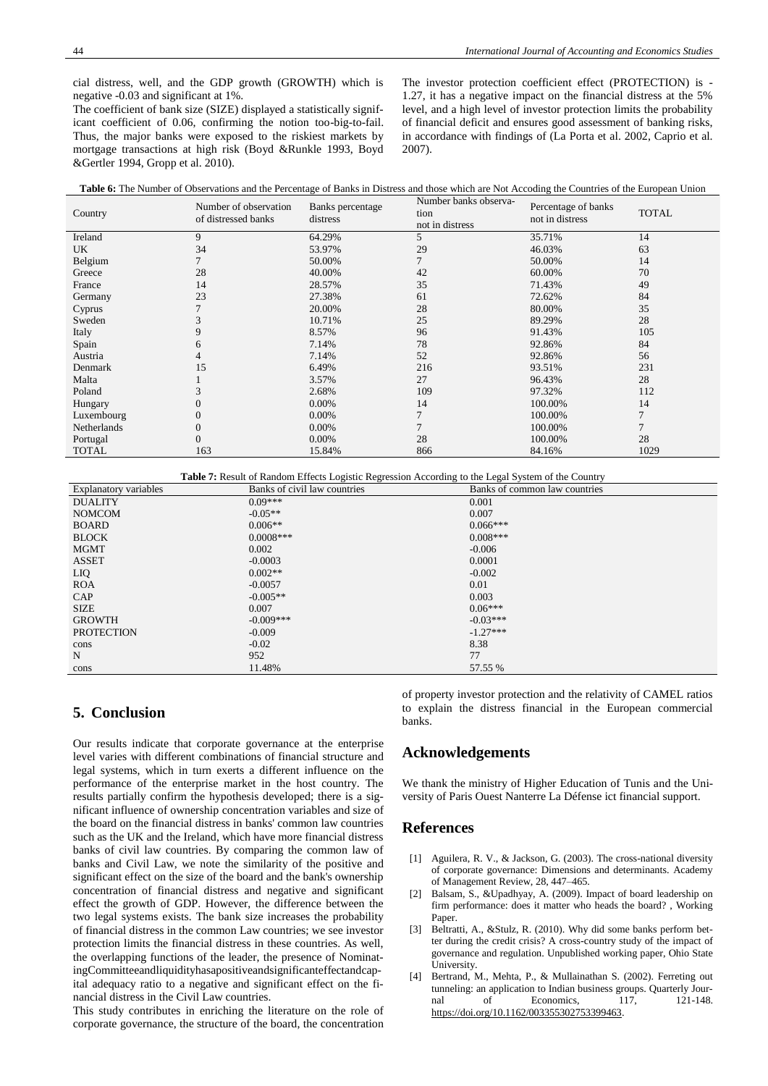cial distress, well, and the GDP growth (GROWTH) which is negative -0.03 and significant at 1%.

The coefficient of bank size (SIZE) displayed a statistically significant coefficient of 0.06, confirming the notion too-big-to-fail. Thus, the major banks were exposed to the riskiest markets by mortgage transactions at high risk (Boyd &Runkle 1993, Boyd &Gertler 1994, Gropp et al. 2010).

The investor protection coefficient effect (PROTECTION) is - 1.27, it has a negative impact on the financial distress at the 5% level, and a high level of investor protection limits the probability of financial deficit and ensures good assessment of banking risks, in accordance with findings of (La Porta et al. 2002, Caprio et al. 2007).

| Country      | Number of observation<br>of distressed banks | Banks percentage<br>distress | Number banks observa-<br>tion<br>not in distress | Percentage of banks<br>not in distress | <b>TOTAL</b>   |
|--------------|----------------------------------------------|------------------------------|--------------------------------------------------|----------------------------------------|----------------|
| Ireland      | 9                                            | 64.29%                       | 5                                                | 35.71%                                 | 14             |
| UK.          | 34                                           | 53.97%                       | 29                                               | 46.03%                                 | 63             |
| Belgium      |                                              | 50.00%                       | 7                                                | 50.00%                                 | 14             |
| Greece       | 28                                           | 40.00%                       | 42                                               | 60.00%                                 | 70             |
| France       | 14                                           | 28.57%                       | 35                                               | 71.43%                                 | 49             |
| Germany      | 23                                           | 27.38%                       | 61                                               | 72.62%                                 | 84             |
| Cyprus       |                                              | 20.00%                       | 28                                               | 80.00%                                 | 35             |
| Sweden       | 3                                            | 10.71%                       | 25                                               | 89.29%                                 | 28             |
| Italy        | 9                                            | 8.57%                        | 96                                               | 91.43%                                 | 105            |
| Spain        | 6                                            | 7.14%                        | 78                                               | 92.86%                                 | 84             |
| Austria      |                                              | 7.14%                        | 52                                               | 92.86%                                 | 56             |
| Denmark      | 15                                           | 6.49%                        | 216                                              | 93.51%                                 | 231            |
| Malta        |                                              | 3.57%                        | 27                                               | 96.43%                                 | 28             |
| Poland       |                                              | 2.68%                        | 109                                              | 97.32%                                 | 112            |
| Hungary      | $\Omega$                                     | 0.00%                        | 14                                               | 100.00%                                | 14             |
| Luxembourg   | $\Omega$                                     | 0.00%                        | 7                                                | 100.00%                                | $\tau$         |
| Netherlands  | 0                                            | 0.00%                        | 7                                                | 100.00%                                | $\overline{7}$ |
| Portugal     |                                              | 0.00%                        | 28                                               | 100.00%                                | 28             |
| <b>TOTAL</b> | 163                                          | 15.84%                       | 866                                              | 84.16%                                 | 1029           |

| <b>Table 7:</b> Result of Random Effects Logistic Regression According to the Legal System of the Country |  |  |  |
|-----------------------------------------------------------------------------------------------------------|--|--|--|
|                                                                                                           |  |  |  |

| <b>Explanatory variables</b> | Banks of civil law countries | Banks of common law countries |
|------------------------------|------------------------------|-------------------------------|
| <b>DUALITY</b>               | $0.09***$                    | 0.001                         |
| <b>NOMCOM</b>                | $-0.05**$                    | 0.007                         |
| <b>BOARD</b>                 | $0.006**$                    | $0.066***$                    |
| <b>BLOCK</b>                 | $0.0008***$                  | $0.008***$                    |
| <b>MGMT</b>                  | 0.002                        | $-0.006$                      |
| <b>ASSET</b>                 | $-0.0003$                    | 0.0001                        |
| LIQ.                         | $0.002**$                    | $-0.002$                      |
| <b>ROA</b>                   | $-0.0057$                    | 0.01                          |
| CAP                          | $-0.005**$                   | 0.003                         |
| <b>SIZE</b>                  | 0.007                        | $0.06***$                     |
| <b>GROWTH</b>                | $-0.009***$                  | $-0.03***$                    |
| <b>PROTECTION</b>            | $-0.009$                     | $-1.27***$                    |
| cons                         | $-0.02$                      | 8.38                          |
| $\mathbf N$                  | 952                          | 77                            |
| cons                         | 11.48%                       | 57.55 %                       |

# **5. Conclusion**

Our results indicate that corporate governance at the enterprise level varies with different combinations of financial structure and legal systems, which in turn exerts a different influence on the performance of the enterprise market in the host country. The results partially confirm the hypothesis developed; there is a significant influence of ownership concentration variables and size of the board on the financial distress in banks' common law countries such as the UK and the Ireland, which have more financial distress banks of civil law countries. By comparing the common law of banks and Civil Law, we note the similarity of the positive and significant effect on the size of the board and the bank's ownership concentration of financial distress and negative and significant effect the growth of GDP. However, the difference between the two legal systems exists. The bank size increases the probability of financial distress in the common Law countries; we see investor protection limits the financial distress in these countries. As well, the overlapping functions of the leader, the presence of NominatingCommitteeandliquidityhasapositiveandsignificanteffectandcapital adequacy ratio to a negative and significant effect on the financial distress in the Civil Law countries.

This study contributes in enriching the literature on the role of corporate governance, the structure of the board, the concentration

of property investor protection and the relativity of CAMEL ratios to explain the distress financial in the European commercial banks.

# **Acknowledgements**

We thank the ministry of Higher Education of Tunis and the University of Paris Ouest Nanterre La Défense ict financial support.

#### **References**

- [1] Aguilera, R. V., & Jackson, G. (2003). The cross-national diversity of corporate governance: Dimensions and determinants. Academy of Management Review, 28, 447–465.
- [2] Balsam, S., &Upadhyay, A. (2009). Impact of board leadership on firm performance: does it matter who heads the board? , Working Paper
- [3] Beltratti, A., &Stulz, R. (2010). Why did some banks perform better during the credit crisis? A cross-country study of the impact of governance and regulation. Unpublished working paper, Ohio State University.
- [4] Bertrand, M., Mehta, P., & Mullainathan S. (2002). Ferreting out tunneling: an application to Indian business groups. Quarterly Journal of Economics. 117, 121-148. [https://doi.org/10.1162/003355302753399463.](https://doi.org/10.1162/003355302753399463)